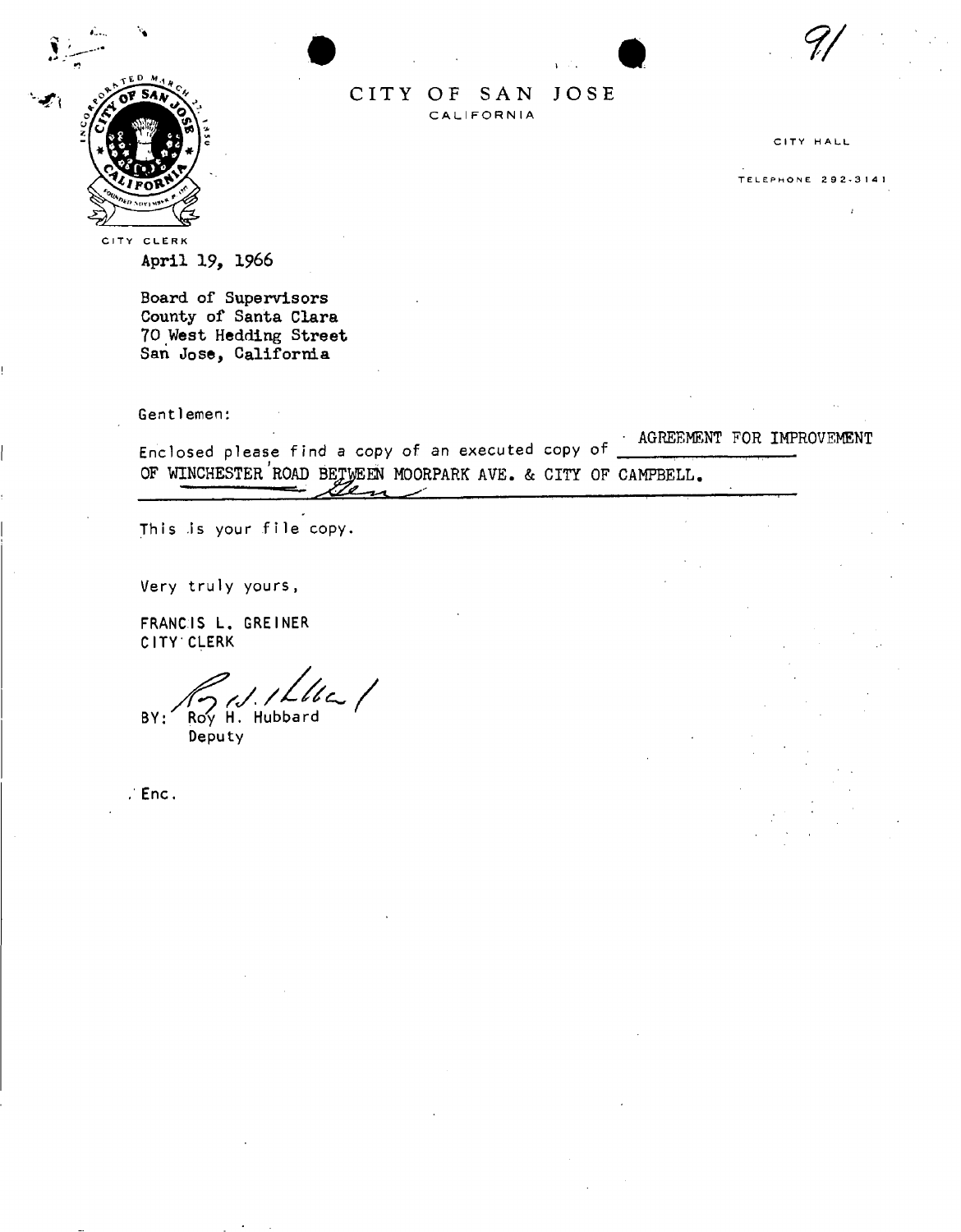

CITY OF SAN JOSE **C A L I FOR N IA** 

CITY HALL

TELEPHON E 292-314 !

CITY CLERK April 19, 1966

> Board of Supervisors County of Santa Clara 70 West Hedding Street San Jose, Califormia

**Gent 1emen:** 

**Enclosed please find a copy of an executed copy of**  OF WINCHESTER ROAD BETWEEN MOORPARK AVE. & CITY OF CAMPBELL. • AGREEMENT FOR IMPROVEMENT

**This .is your file copy.** 

**Very truly yours ,** 

**FRANCIS L . GREINER CITY CLERK** 

BY: Roy H. Hubbard **Deputy** 

**Enc,**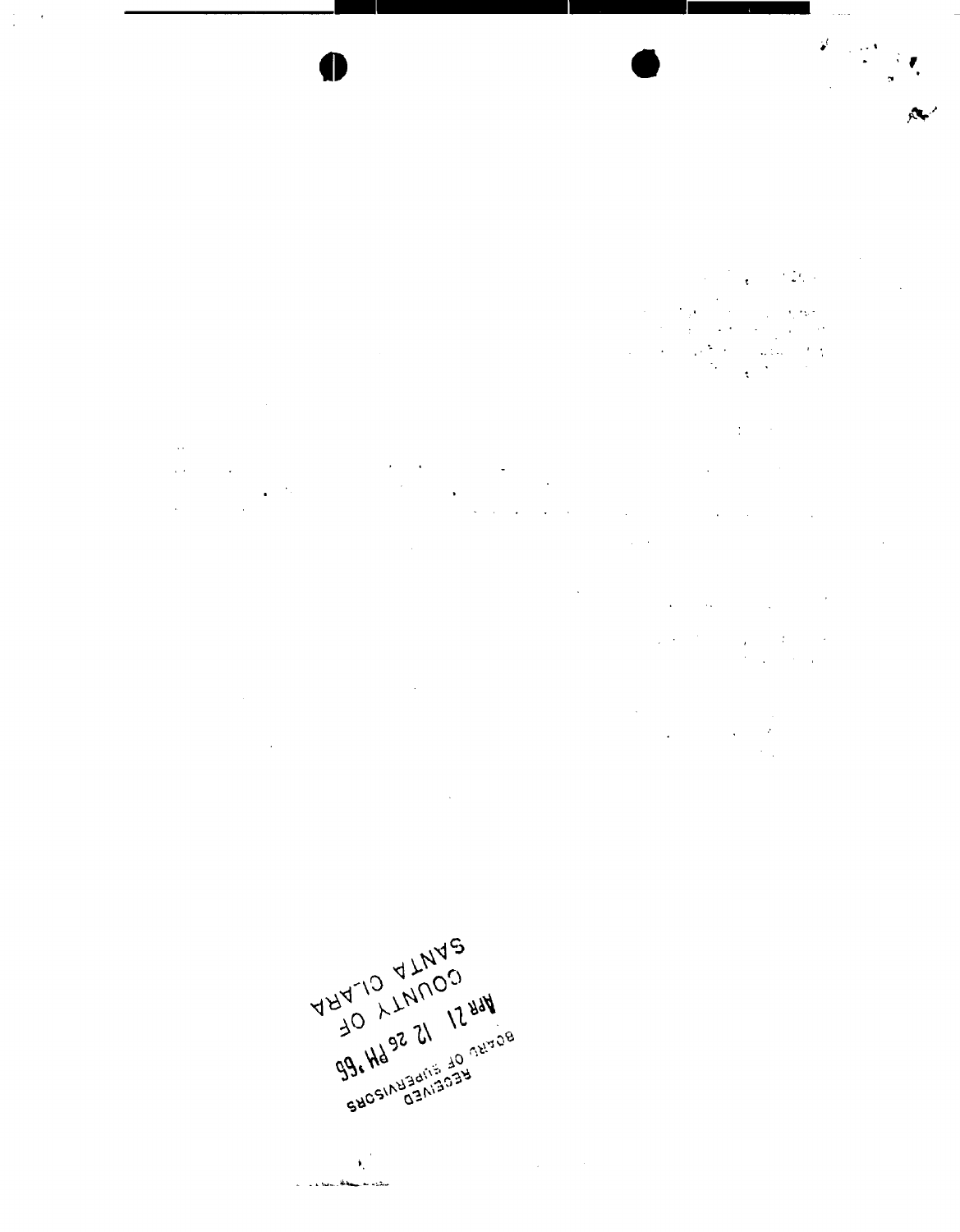$\ddot{\phantom{0}}$ 

 $\sqrt{2}$ 

 $\sim$  1.12

 $\frac{1}{\sqrt{2}}\sum_{i=1}^{n}\frac{1}{\sqrt{2}}\sum_{j=1}^{n}\frac{1}{j}\sum_{j=1}^{n}\frac{1}{j}$ 

 $\overline{\mathcal{M}}$ 

 $\mathbb{R}^2$ 

 $\label{eq:2} \mathcal{L}(\mathcal{L}^{\text{max}}_{\text{max}}) = \frac{1}{\sqrt{2}} \sum_{i=1}^{\infty} \mathcal{L}(\mathcal{L}^{\text{max}}_{\text{max}})$  $\sim 10^{-10}$  km

 $\mathcal{L}^{\text{max}}$  $\mathcal{L}$  $\frac{1}{2}$  $\mathcal{L}^{(1,2)}$  $\frac{1}{2}$  ,  $\frac{1}{2}$  $\hat{L}^{(1)}$  $\frac{1}{2}$  ,  $\frac{1}{2}$  $\frac{1}{2} \int_{\mathbb{R}^2} \frac{1}{\sqrt{2}} \, \frac{1}{\sqrt{2}} \, \frac{1}{\sqrt{2}} \, \frac{1}{\sqrt{2}} \, \frac{1}{\sqrt{2}}$  $\mathcal{L}(\mathcal{A})$  and  $\mathcal{L}(\mathcal{A})$  are  $\mathcal{L}(\mathcal{A})$  .  $\frac{1}{2} \left( \frac{1}{2} \right)$  $\sim 10^{-11}$  $\label{eq:2.1} \mathcal{L}(\mathbf{x}) = \mathcal{L}(\mathbf{x}) = \mathcal{L}(\mathbf{x}) = \mathcal{L}(\mathbf{x})$ 

 $\sim$   $\sim$  $\mathcal{A}^{\pm}$  $\label{eq:2} \frac{1}{\sqrt{2}}\left(\frac{1}{\sqrt{2}}\right)^{2} \left(\frac{1}{\sqrt{2}}\right)^{2} \left(\frac{1}{\sqrt{2}}\right)^{2} \left(\frac{1}{\sqrt{2}}\right)^{2} \left(\frac{1}{\sqrt{2}}\right)^{2} \left(\frac{1}{\sqrt{2}}\right)^{2} \left(\frac{1}{\sqrt{2}}\right)^{2} \left(\frac{1}{\sqrt{2}}\right)^{2} \left(\frac{1}{\sqrt{2}}\right)^{2} \left(\frac{1}{\sqrt{2}}\right)^{2} \left(\frac{1}{\sqrt{2}}\right)^{2} \left(\frac{$  $\sim$   $\sim$ 



 $\sim$ 

 $\mathbf{v}^{(k)}_i$  $\Delta \phi = 0.05$ 

La Nacional Albany, me a situa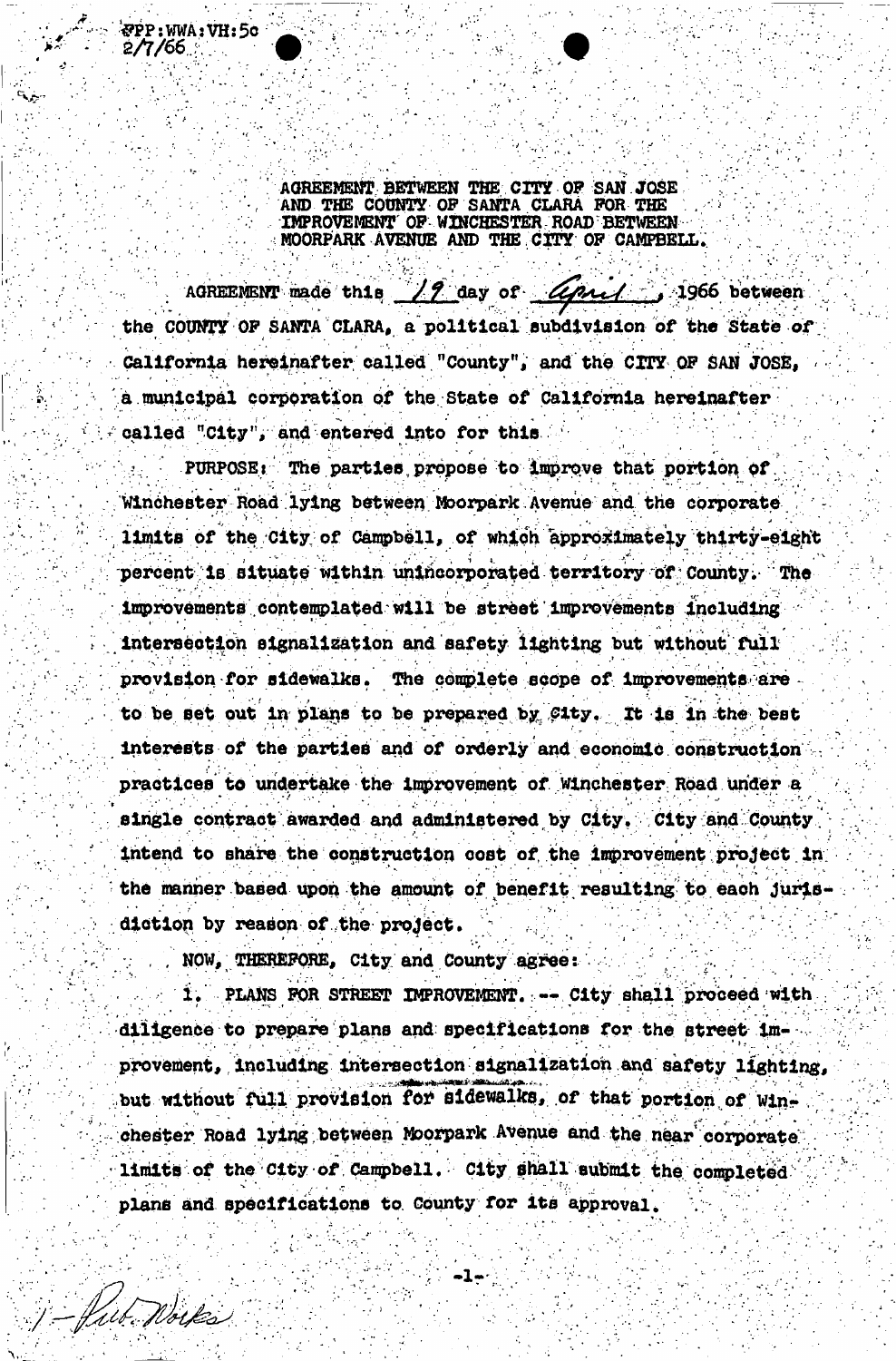**AGREEMENT BETWEEN THE CITY OF SAN JOSE** AND THE COUNTY OF SANTA CLARA FOR THE **IMPROVEMENT OF WINCHESTER ROAD BETWEEN MOORPARK AVENUE AND THE CITY OF CAMPBELL.** 

**#PP:WWA:VH**s**5**O

2/T/66 :

1- Pub Nortes

AGREEMENT made this 19 day of *Uprul* 1966 between the COUNTY OP SANTA CLARA, a political subdivision of the State of. California hereinafter called "County", and the CITY OF SAN JOSE, a municipal corporation of the State of California hereinafter called "City", and entered into for this

 $PURPOSE:$  The parties propose to improve that portion of Winchester Road lying between Moorpark Avenue smd the corporate limits of the City of Campbell, of which approximately thirty-eight percent is situate within unincorporated territory of: County; The improvements contemplated will be street improvements including intersection signalization and safety lighting but without fuil ' provision for sidewalks. The complete scope of improvements are to be set out in plans to be prepared by City. It is in the best interests of the parties and of orderly and economic construction practices to undertake the improvement of Winchester Road upder a single contract awarded and administered by City. City 'and County. intend to share the construction cost of the improvement project in the manner based upon the amount of benefit resulting to each Jurisdiction by reason of the project.

NOW, THEREFORE, City and County agree:

1. PLANS FOR STREET IMPROVEMENT. -- City shall proceed with diligence to prepare plans and specifications for the street improvement, including intersection signalization and safety lighting, but without full provision for sidewalks, of that portion of winchester Road lying between Moorpark Avenue and the near corporate limits of the City of Campbell. City shall submit the completed plans and specifications to County *tor* its approval. /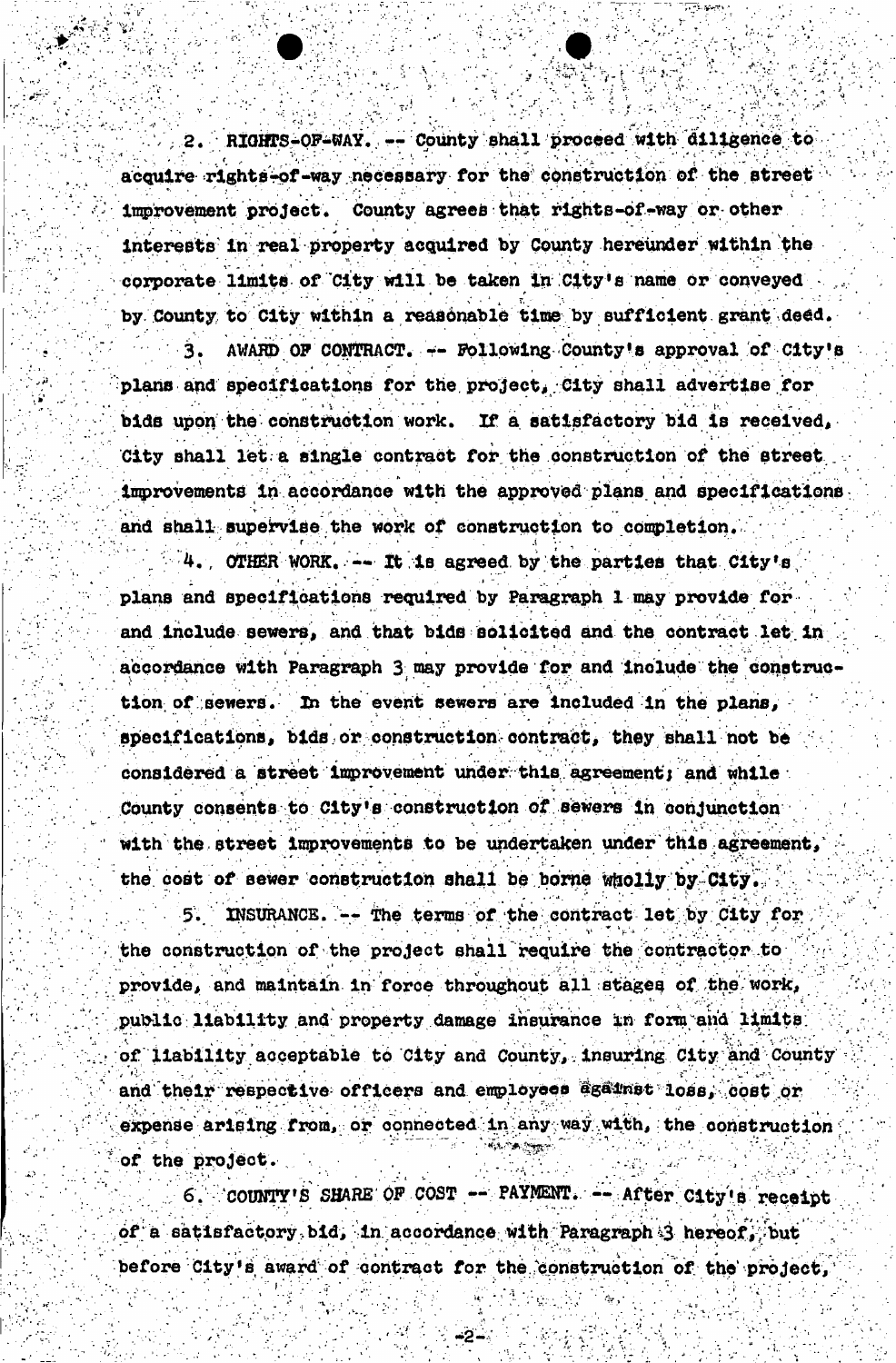2. RIGHTS-OF-WAY. -- County shall proceed with diligence to acquire rights-of-way necessary for the construction of the street improvement project. County agrees that rights-of-way or other interests in real property acquired by County hereiwder within the corporate limits of City will be taken in City •8 name or conveyed by County to City within a reasonable time by sufficient grant deed.

AWARD OF CONTRACT. -- Following County's approval of City's plans and specifications for the project, City shall advertise for bids upon the construction work. If a satisfactory bid is received, City shall let a single contract for the construction of the street improvements in accordance with the approved plans and specifications. and shall supervise the work of construction to completion.

 $4.$ , OTHER WORK.  $\sim$  It is agreed by the parties that City's plans and specifications required by Paragraph 1 may provide for and include sewers, and that bids solicited and the contract let in accordance With Paragraph 3 way provide for and include the ^onstruc tion of sewers. In the event sewers are included in the plans, specifications, bids or construction contract, they shall not be considered a street improvement under this agreement; and while County consents to City's construction of sewers In conjunction with the street improvements to be undertaken under this agreement, the cost of sewer construction shall be borne wholly by City.

INSURANCE.  $--$  The terms of the contract let by City for the construction of the project shall require the contractor to : provide, and maintain in force throughout all stages of the work, public liability and property damage insurance in form and limits; of liability acceptable to City and County, insuring City and County and their respective officers and employees Egainst loss, cost or expense arising from, or connected in any way with, the construction of the project.

 $r_{\rm c}$  ,  $r_{\rm c}$ 

 $\mathcal{L}^{\text{max}}_{\text{max}}$ 

 $\mathcal{L}^{\mathcal{L}}$  , and the set of the set of the set of the set of the set of the set of the set of the set of the set of the set of the set of the set of the set of the set of the set of the set of the set of the set of t

'COUNTY'S SHARE OF COST -- PAYMENT. -- After City's receipt of a satisfactory bid, in accordance with Paragraph 3 hereof, but before City's award of contract for the construction of the project,

" , ' <del>A2 +</del>V + U + #1 & W + 2 + 0 + 2

 **. "- J I" '" ^** 

12 Million St. 1995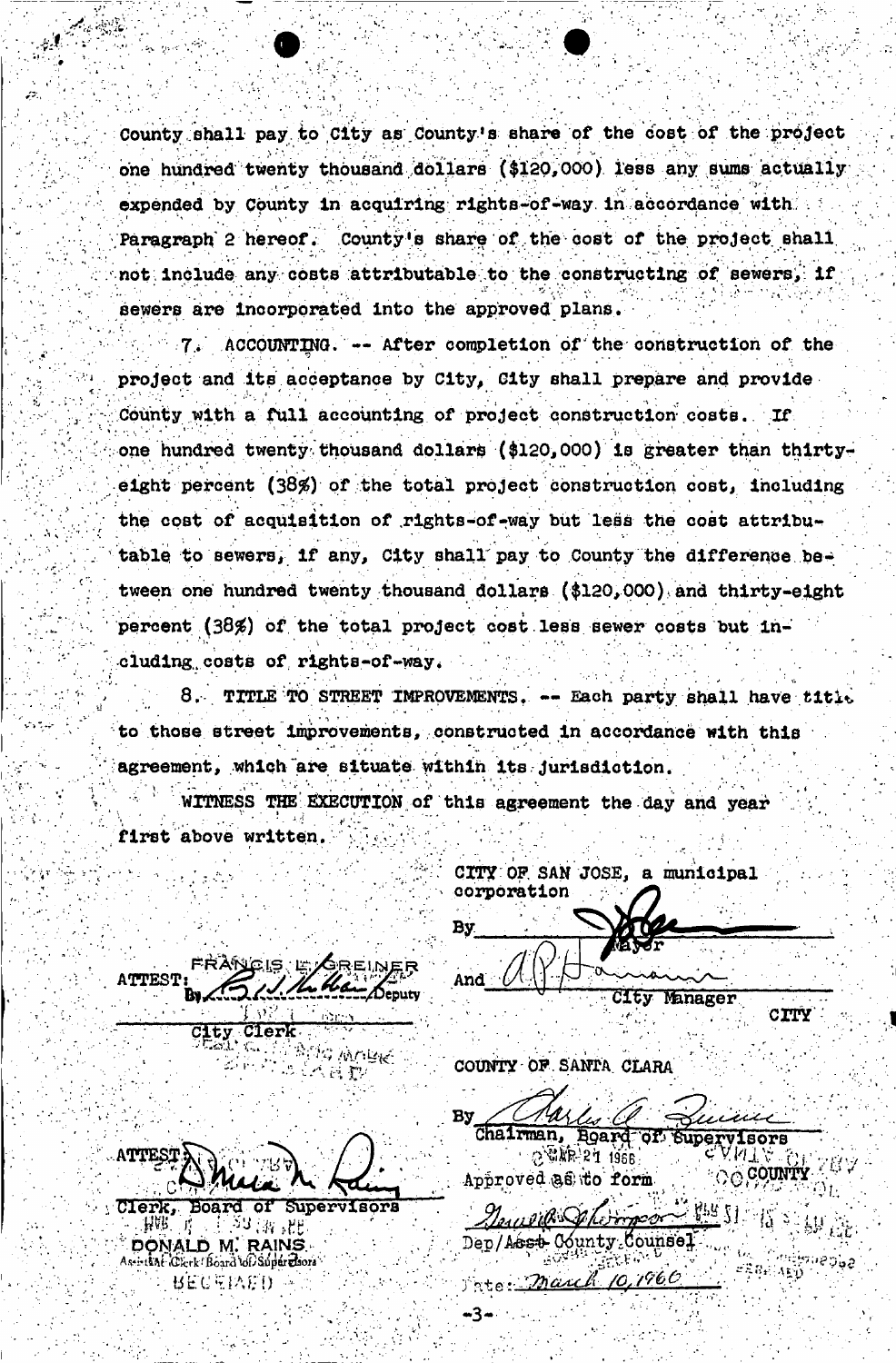County shall pay to City as County's share of the cost of the project one hundred twenty thousand dollars (\$120,000) less any sums actually expended by County in acquiring rights-of-way in accordance with. County's share of the cost of the project shall Paragraph 2 hereof. not include any costs attributable to the constructing of sewers, if sewers are incorporated into the approved plans.

ACCOUNTING. -- After completion of the construction of the project and its acceptance by City, City shall prepare and provide County with a full accounting of project construction costs. If one hundred twenty thousand dollars (\$120,000) is greater than thirtyeight percent (38%) of the total project construction cost, including the cost of acquisition of rights-of-way but less the cost attributable to sewers, if any, City shall pay to County the difference between one hundred twenty thousand dollars (\$120,000) and thirty-eight percent (38%) of the total project cost less sewer costs but including costs of rights-of-way.

8. TITLE TO STREET IMPROVEMENTS. -- Each party shall have title to those street improvements, constructed in accordance with this agreement, which are situate within its jurisdiction.

WITNESS THE EXECUTION of this agreement the day and year first above written.

CITY OF SAN JOSE, a municipal corporation By.

And | Denut

-3

City Manager

**CITY** 

OO COUNTY XUX

COUNTY OF SANTA CLARA

By Chairman, Board

**OF Supervisors** 2 54 KR 21 1966 Approved as to form

 $472\pm1$ Journald Shormes Dep/Aest County Counsel rate: March 10,1960

**ATTEST** 

City Clerk

**ATTEST** 

FRANCIS L'AREINER

**PANG WHEK** 

三个百套

Clerk, Board of Supervisors ्मिक्षे । 1.23 (游 発出 DONALD M. RAINS Aseistent iClerk! Board to Supervisors BECEPAED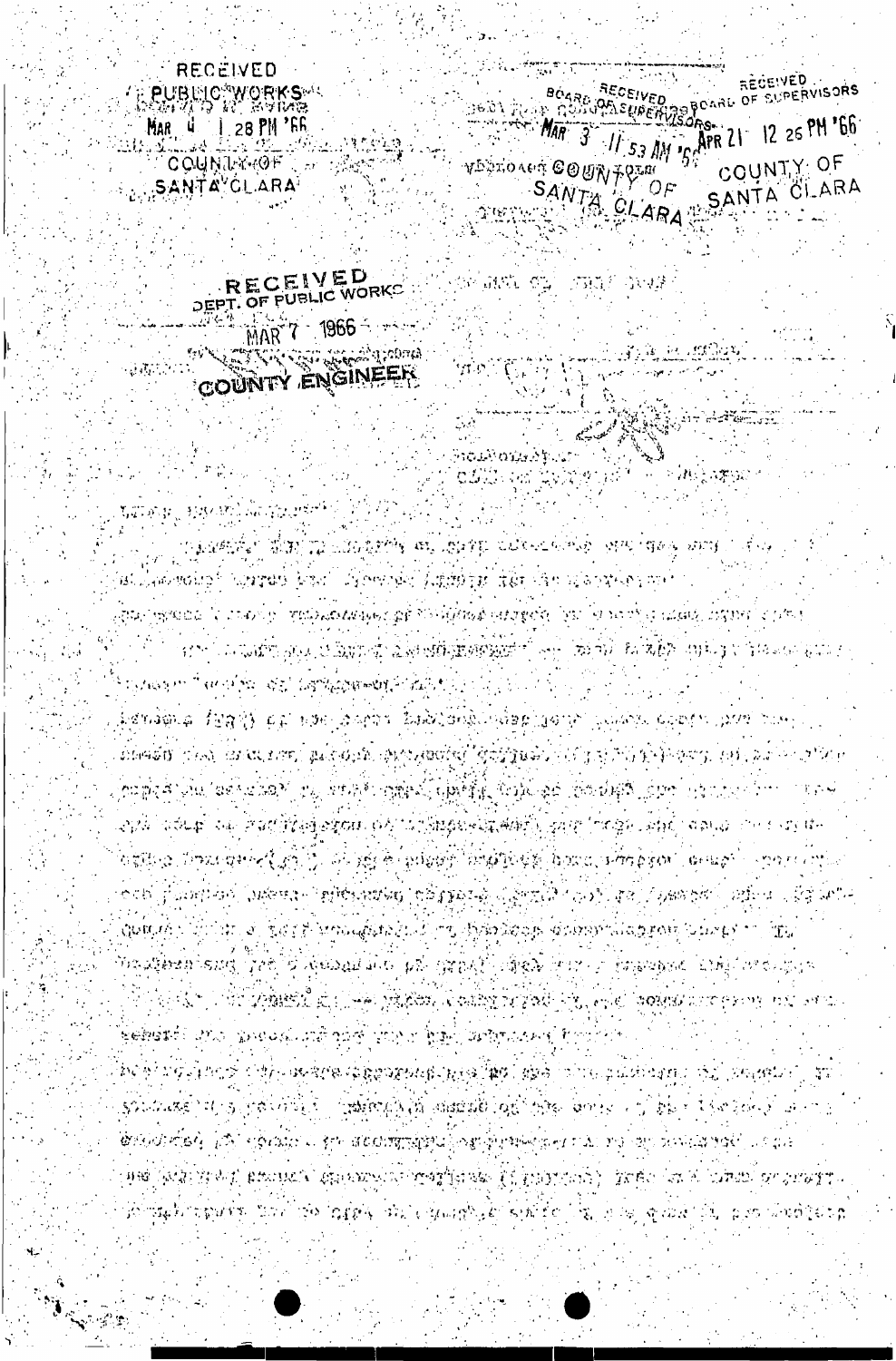මිමේස්ත්ර දහය බලපමණ හම් අයිල් බිහිලය මිලිල් කළේහයෙන් වල POP PARA DOS CALENDARIOS DE EN EL MAR (PODE LA CONTENTA DE PODER) SOLOMBER IN IS JOB VOILET JOHN BOLOGIA LIGHT AND LONGE AND LET THE LIGHT TO A LONGED AND ်**တွေ့ကြောက်ခံရဲ့ ပည်ပုံ ရစ္စာသည္ေပါ နဲ့က အစေအာက္လစ္ခ်က္ခဲ့သူ ရွိတဲ့အခါမရမွာများ သည္ တခုျဖစ္လုပ္ သူလည္သူ အခင္ပါျပင္ သူန** (PR) (ASK) HOST, PROPERT AN SAMMON (REST)NES FLFIDININA) - INGLATIS (AT A LANG) NE HALF န်ပါတီနယ်နိုင်ငံစွာများနှင့် ဒီအခါ ထုတ် ကြည့်စုံရဲ့ အဲန္ဒါ ရေမျမတ္တို႔နိုင္ငံ ရေမျိုးကို နဲ႔ ရေမျဖစ္ အိုင်းများ

ි විට දේශීෂීතීවී බුදු (ලිමුම ලැබුවීකා) මිනුවෙල් පාලිකව විලි. මෙම කත්තේ වෙන අනගල පාර ගෙන

DETAINE /BAY) CE DIN LAPPE ZALAZINGIR (1989) (1987) SALAYA CARI (1999) DAH ( DIAGO (TAN), UNULIARI POLICINA ANGLIARI GIJIPAGALA TA TA PAPI GIJIPAGA LA TANGGA ကြီးစုန်းနှင့် အစိုးနေအောင် ကုန် အကျိုးကြုံရှိနှင့် မြောင့်နှင့် အသုံးနှင့် ကြီးစုန်းနှင့် ကြီးစုန်း ကြီးစုန်း સ્ટાર્ટર વર્ણ<del>પાઈ</del> અને સેવલીલેલિક કરાળો છેટ્ટે આઈક્ષિક્ષક સામગ્રી સમયે પુરુણ (1908)ને સ્વાન્ટ વર્ણસ્ટ વખત પછા પેન OSTELA INFORMACIÓN EL ALIGER DIRECT TOMPOGN DOCCATORISM CHIERT - SON CATEL ැනගත් යුද්ධයෙකුට බව දියාල්පයෙන විකුලිම්පැතක්වෙනු දිනකි. ඉබුදෙන් දැනී දිනකි. එනම් දියාල්පත් වන දිනකි. වෙන්න යොද Quincip (Chilipto) (Lang) Terroughlich (CA) w. BBradnop (Carrieral aggiori (Caeup) w. Afu Danakhaki sung 1786 B Kodama dos 41% ngangki nikan bini si muniposo ding on sisiplin

at Jaakwahoo hijayaab boshi dibeeroki (ayipbop iyo dan ulahoyike mel sta i pjedala. Is i tao i po spalo kada je zapštili i filmaj na transki jezička po trijes i dala, instrum s je stroj van Turkov zaza, Elikova og Alesandiskog engelesoj zazoni. Ive oni usa Višvo upringu u tranzan hata s TSAWAPP TERPOPAL WAS GAPALOUNDED FOR STR

TA MAGAZINI TA WALAMARAY WA AGLI DI CILICLICATI TA TA TATA TA TA TA

MAR 7 1966 - 1987 ARTEN CONTRA BELEVIS AND TELEVISION  $m_{\rm 3}$ COUNTY ENGINEER

RECEIVED

**WEBST LEARNEY ACTIVITY** 

DEPT. OF FUBLIC WORKS

RECEIVED **PUBLIC WORKS**  $1.28$  PM  $^{\circ}$  FR Mar y **COUNTAINOF** SANTA'CLARA

RECEIVED RECEIVED BOARD BECEIVED RECEIVED RECEIVED 11 53 AM 15 APR 21 12 26 PM 166 **MAR** 3 COUNTY: OF VERTO AGT COURTS OF SANTA CLARA SANTA CLARA

**ANG ELITRIC** 

ste kandiga ka

**可以进**定的

有效的 化的的变形 的现在分词

 $\gamma_{\rm F}$  is possible

matikana ku

OWE WE THAT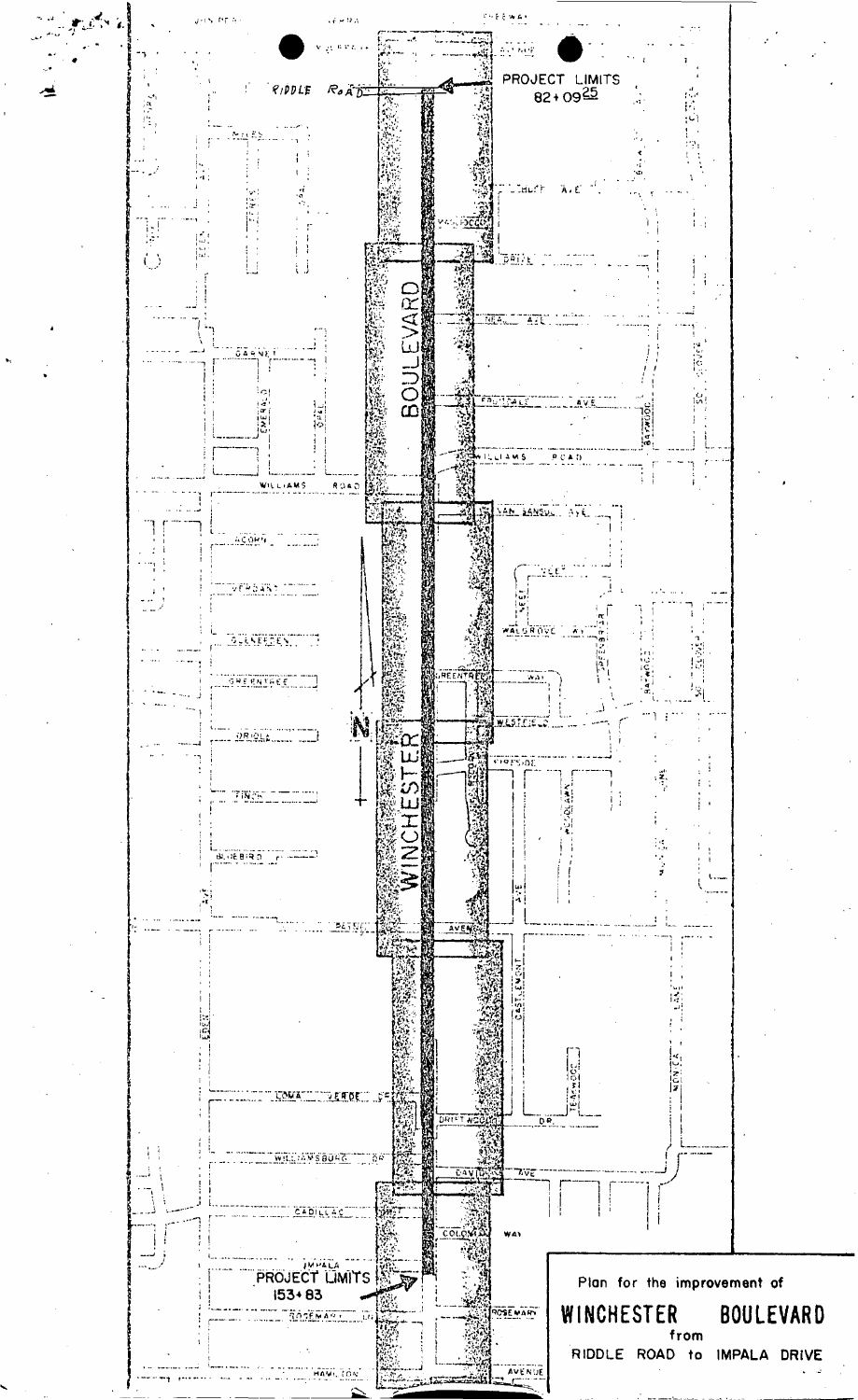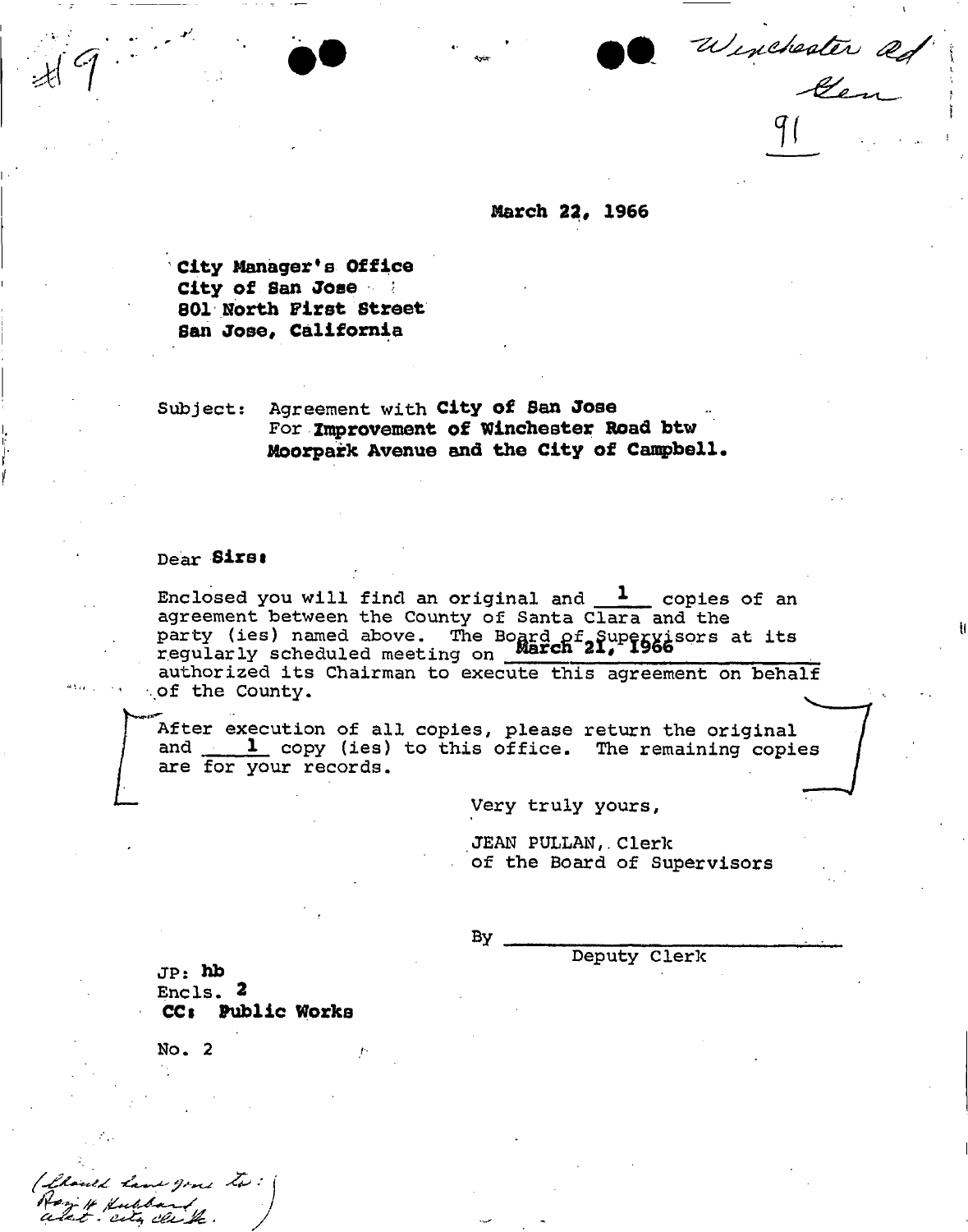Winchester ad

*V* 

March *220* 1966

City Manager\*s Office City of San Jose 801 North First Street San Jose, California

**Subject: Agreement with** City of San Jose For Improvement of Winchester Road btw Moorpark Avenue and the City of Campbell.

## **Dear** Sirsi

Enclosed you will find an original and  $\frac{1}{\ }$  copies of an **agreement between the County of Santa Clara and the party (ies) named above. The Board gf\*Supervisors at its regularly scheduled meeting on** Marcn *21,* 1966

**authorized its Chairman to execute this agreement on behalf**  *of* **the County.** 

**After execution of all copies, please return the original**  and 1 copy (ies) to this office. The remaining copies **are for your records.** 

**Very truly yours,** 

**JEAN PULLAN,. Clerk of the Board of Supervisors** 

**Deputy Clerk** 

**By** 

**JP:** hb **Encls. 2**  CC: Public Works

No. 2

I have gone to:

Kuldar city clu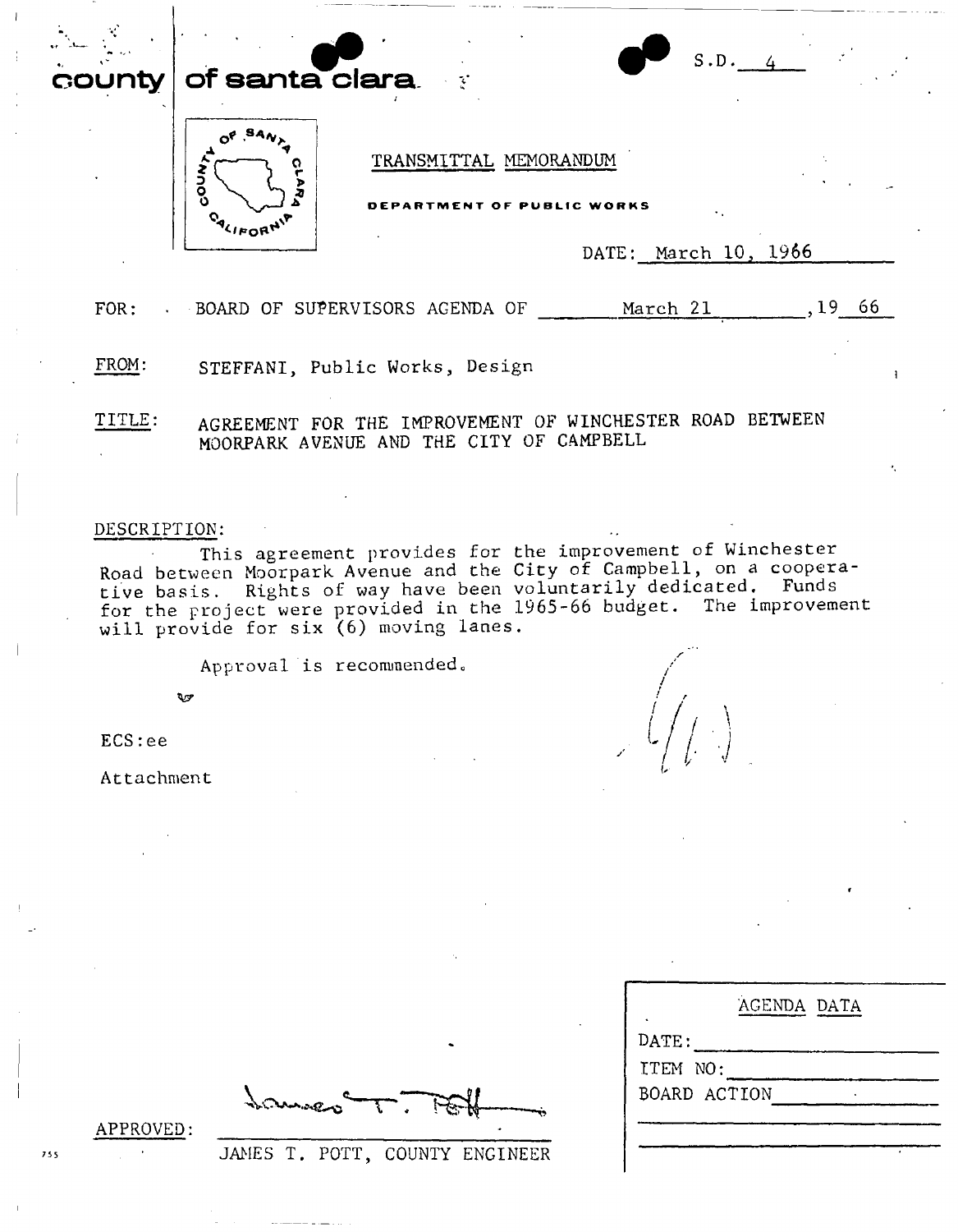**unty of santa clara.** 



TRANSMITTAL MEMORANDUM

**BEMENT OF PUBLIC WORKS** 

DATE: March 10, 1966

 $l_{\rm \parallel}$  /  $_{\rm \perp}$ 

*•j* 

S.D.

FOR: BOARD OF SUPERVISORS AGENDA OF March 21 , 19 66

FROM: STEFFANI, Public Works, Design

TITLE: AGREEMENT FOR THE IMPROVEMENT OF WINCHESTER ROAD BETWEEN MOORPARK AVENUE AND THE CITY OF CAMPBELL

## DESCRIPTION:

This agreement provides for the improvement of Winchester Road between Moorpark Avenue and the City of Campbell, on a cooperative basis. Rights of way have been voluntarily dedicated. Funds for the project were provided in the 1965-66 budget. The improvement will provide for six (6) moving lanes.

Approval is recommended

t^sr

ECS:ee

Attachment

|                  | AGENDA DATA |  |
|------------------|-------------|--|
| $\texttt{DATE:}$ |             |  |
| ITEM NO:         |             |  |
| BOARD ACTION     |             |  |
|                  |             |  |
|                  |             |  |
|                  |             |  |

APPROVED

<sup>755</sup> JAMES T. POTT, COUNTY ENGINEER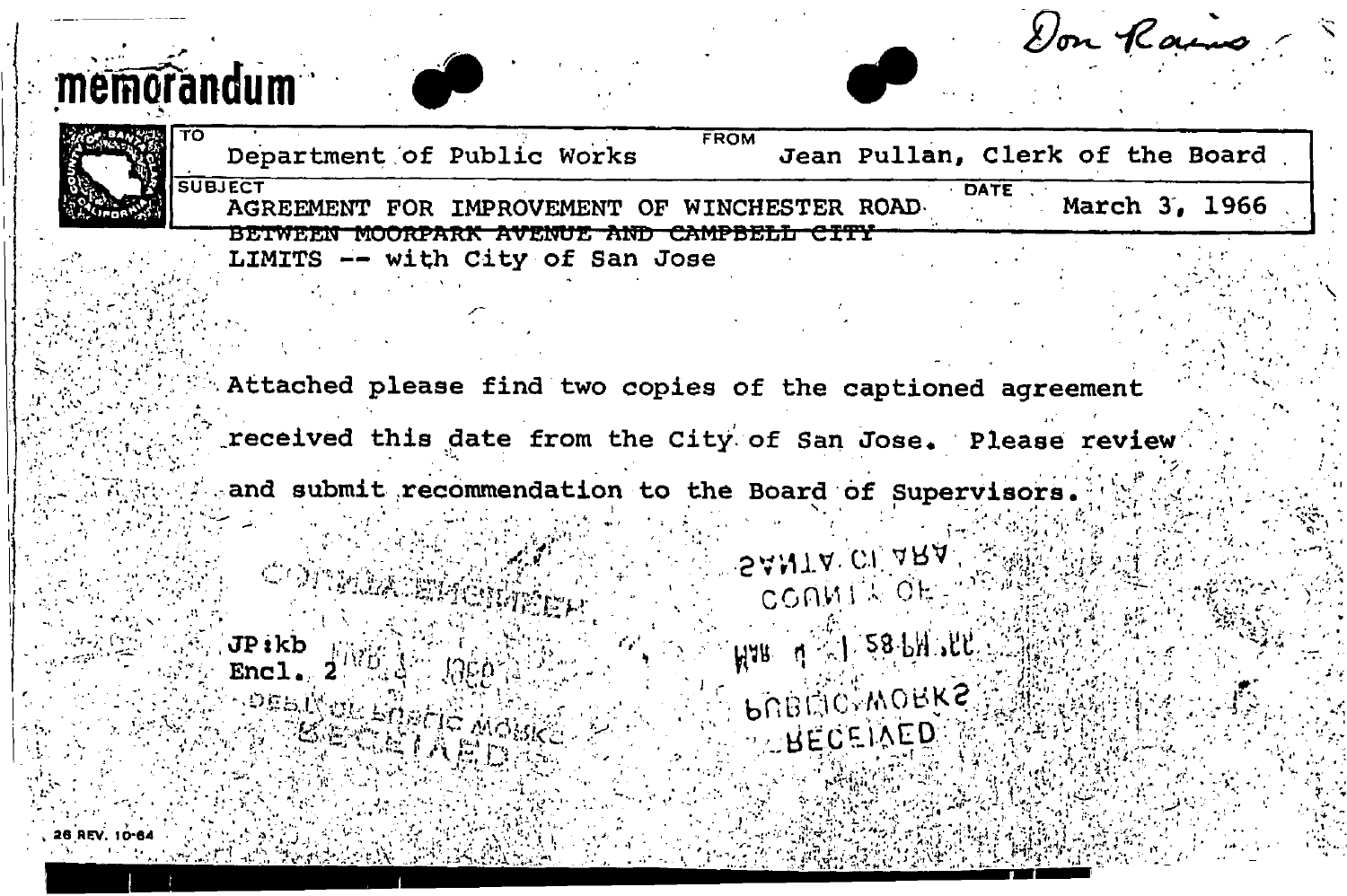| memorandum    |                                                                              | Don Raino                                                                                                                 |  |
|---------------|------------------------------------------------------------------------------|---------------------------------------------------------------------------------------------------------------------------|--|
| <b>TO</b>     | Department of Public Works                                                   | <b>FROM</b><br>Jean Pullan, Clerk of the Board                                                                            |  |
|               | <b>SUBJECT</b><br>AGREEMENT FOR IMPROVEMENT OF WINCHESTER ROAD-              | DATE<br>March 3, 1966                                                                                                     |  |
|               | BETWEEN MOORPARK AVENUE AND CAMPBELL CITY<br>LIMITS -- with City of San Jose |                                                                                                                           |  |
|               |                                                                              | Attached please find two copies of the captioned agreement<br>received this date from the City of San Jose. Please review |  |
|               | and submit recommendation to the Board of Supervisors.                       |                                                                                                                           |  |
|               | Windows                                                                      | SANTA CLARA<br>COMMIL OF                                                                                                  |  |
|               | JPikb<br><b>Encl</b>                                                         | HAR 4 XI 28-PH TEE                                                                                                        |  |
|               | <b>DEBINDE ENPERT MOBILE</b>                                                 | <b>PUBITIC, WORKS</b><br>BECEIVED                                                                                         |  |
| 26 REV. 10-64 |                                                                              |                                                                                                                           |  |